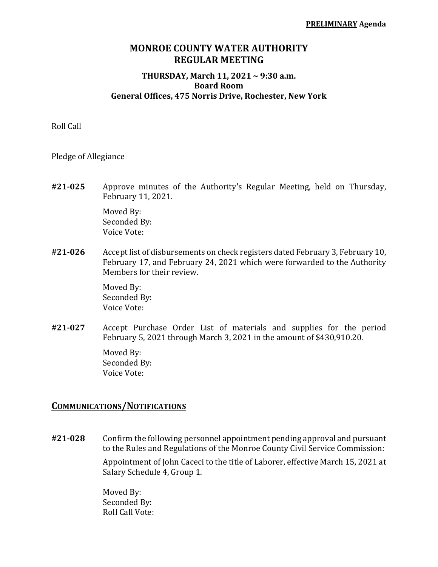## **MONROE COUNTY WATER AUTHORITY REGULAR MEETING**

#### **THURSDAY, March 11, 2021 ~ 9:30 a.m. Board Room General Offices, 475 Norris Drive, Rochester, New York**

Roll Call

Pledge of Allegiance

**#21‐025** Approve minutes of the Authority's Regular Meeting, held on Thursday, February 11, 2021.

> Moved By: Seconded By: Voice Vote:

**#21‐026** Accept list of disbursements on check registers dated February 3, February 10, February 17, and February 24, 2021 which were forwarded to the Authority Members for their review.

> Moved By: Seconded By: Voice Vote:

**#21‐027** Accept Purchase Order List of materials and supplies for the period February 5, 2021 through March 3, 2021 in the amount of \$430,910.20.

> Moved By: Seconded By: Voice Vote:

#### **COMMUNICATIONS/NOTIFICATIONS**

**#21‐028** Confirm the following personnel appointment pending approval and pursuant to the Rules and Regulations of the Monroe County Civil Service Commission:

> Appointment of John Caceci to the title of Laborer, effective March 15, 2021 at Salary Schedule 4, Group 1.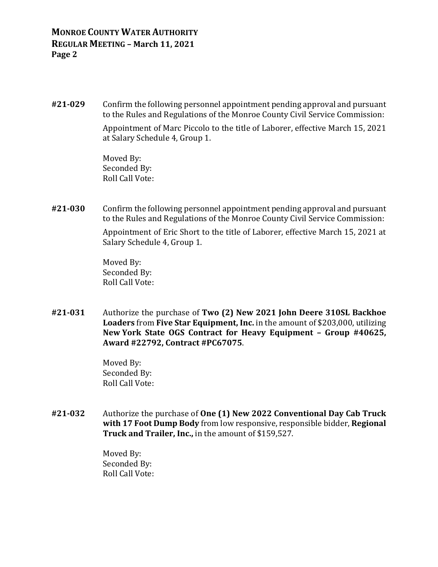**#21‐029** Confirm the following personnel appointment pending approval and pursuant to the Rules and Regulations of the Monroe County Civil Service Commission:

> Appointment of Marc Piccolo to the title of Laborer, effective March 15, 2021 at Salary Schedule 4, Group 1.

 Moved By: Seconded By: Roll Call Vote:

**#21‐030** Confirm the following personnel appointment pending approval and pursuant to the Rules and Regulations of the Monroe County Civil Service Commission:

> Appointment of Eric Short to the title of Laborer, effective March 15, 2021 at Salary Schedule 4, Group 1.

 Moved By: Seconded By: Roll Call Vote:

**#21‐031** Authorize the purchase of **Two (2) New 2021 John Deere 310SL Backhoe Loaders** from **Five Star Equipment, Inc.** in the amount of \$203,000, utilizing **New York State OGS Contract for Heavy Equipment – Group #40625, Award #22792, Contract #PC67075**.

> Moved By: Seconded By: Roll Call Vote:

**#21‐032** Authorize the purchase of **One (1) New 2022 Conventional Day Cab Truck with 17 Foot Dump Body** from low responsive, responsible bidder, **Regional Truck and Trailer, Inc.,** in the amount of \$159,527.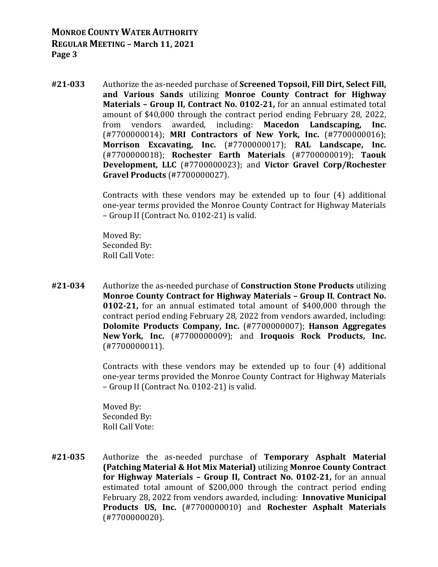**#21‐033** Authorize the as-needed purchase of **Screened Topsoil, Fill Dirt, Select Fill, and Various Sands** utilizing **Monroe County Contract for Highway Materials – Group II, Contract No. 0102‐21,** for an annual estimated total amount of \$40,000 through the contract period ending February 28, 2022, from vendors awarded, including: **Macedon Landscaping, Inc.** (#7700000014); **MRI Contractors of New York, Inc.** (#7700000016); **Morrison Excavating, Inc.** (#7700000017); **RAL Landscape, Inc.** (#7700000018); **Rochester Earth Materials** (#7700000019); **Taouk Development, LLC** (#7700000023); and **Victor Gravel Corp/Rochester Gravel Products** (#7700000027).

> Contracts with these vendors may be extended up to four (4) additional one-year terms provided the Monroe County Contract for Highway Materials – Group II (Contract No. 0102-21) is valid.

 Moved By: Seconded By: Roll Call Vote:

**#21‐034** Authorize the as-needed purchase of **Construction Stone Products** utilizing **Monroe County Contract for Highway Materials – Group II**, **Contract No. 0102‐21,** for an annual estimated total amount of \$400,000 through the contract period ending February 28, 2022 from vendors awarded, including: **Dolomite Products Company, Inc.** (#7700000007); **Hanson Aggregates New York, Inc.** (#7700000009); and **Iroquois Rock Products, Inc.** (#7700000011).

> Contracts with these vendors may be extended up to four (4) additional one-year terms provided the Monroe County Contract for Highway Materials – Group II (Contract No. 0102-21) is valid.

 Moved By: Seconded By: Roll Call Vote:

**#21‐035** Authorize the as-needed purchase of **Temporary Asphalt Material (Patching Material & Hot Mix Material)** utilizing **Monroe County Contract for Highway Materials – Group II, Contract No. 0102‐21,** for an annual estimated total amount of \$200,000 through the contract period ending February 28, 2022 from vendors awarded, including: **Innovative Municipal Products US, Inc.** (#7700000010) and **Rochester Asphalt Materials** (#7700000020).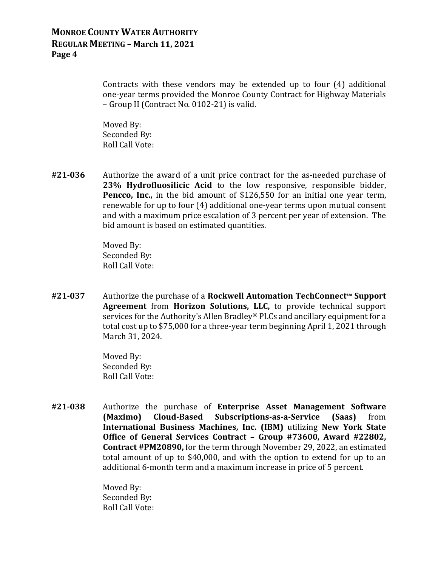Contracts with these vendors may be extended up to four (4) additional one-year terms provided the Monroe County Contract for Highway Materials – Group II (Contract No. 0102-21) is valid.

 Moved By: Seconded By: Roll Call Vote:

**#21‐036** Authorize the award of a unit price contract for the as-needed purchase of **23% Hydrofluosilicic Acid** to the low responsive, responsible bidder, **Pencco, Inc.,** in the bid amount of \$126,550 for an initial one year term, renewable for up to four (4) additional one-year terms upon mutual consent and with a maximum price escalation of 3 percent per year of extension. The bid amount is based on estimated quantities.

> Moved By: Seconded By: Roll Call Vote:

**#21‐037** Authorize the purchase of a **Rockwell Automation TechConnect℠ Support Agreement** from **Horizon Solutions, LLC,** to provide technical support services for the Authority's Allen Bradley® PLCs and ancillary equipment for a total cost up to \$75,000 for a three-year term beginning April 1, 2021 through March 31, 2024.

> Moved By: Seconded By: Roll Call Vote:

**#21‐038** Authorize the purchase of **Enterprise Asset Management Software (Maximo) Cloud‐Based Subscriptions‐as‐a‐Service (Saas)** from **International Business Machines, Inc. (IBM)** utilizing **New York State Office of General Services Contract – Group #73600, Award #22802, Contract #PM20890,** for the term through November 29, 2022, an estimated total amount of up to \$40,000, and with the option to extend for up to an additional 6-month term and a maximum increase in price of 5 percent.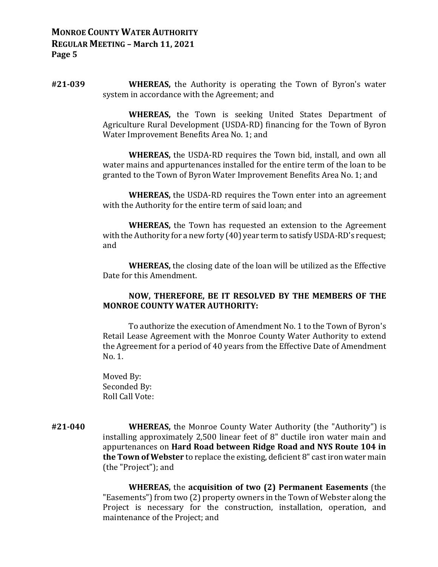**#21‐039 WHEREAS,** the Authority is operating the Town of Byron's water system in accordance with the Agreement; and

> **WHEREAS,** the Town is seeking United States Department of Agriculture Rural Development (USDA-RD) financing for the Town of Byron Water Improvement Benefits Area No. 1; and

> **WHEREAS,** the USDA-RD requires the Town bid, install, and own all water mains and appurtenances installed for the entire term of the loan to be granted to the Town of Byron Water Improvement Benefits Area No. 1; and

> **WHEREAS,** the USDA-RD requires the Town enter into an agreement with the Authority for the entire term of said loan; and

> **WHEREAS,** the Town has requested an extension to the Agreement with the Authority for a new forty (40) year term to satisfy USDA-RD's request; and

> **WHEREAS,** the closing date of the loan will be utilized as the Effective Date for this Amendment.

#### **NOW, THEREFORE, BE IT RESOLVED BY THE MEMBERS OF THE MONROE COUNTY WATER AUTHORITY:**

 To authorize the execution of Amendment No. 1 to the Town of Byron's Retail Lease Agreement with the Monroe County Water Authority to extend the Agreement for a period of 40 years from the Effective Date of Amendment No. 1.

 Moved By: Seconded By: Roll Call Vote:

**#21‐040 WHEREAS,** the Monroe County Water Authority (the "Authority") is installing approximately 2,500 linear feet of 8" ductile iron water main and appurtenances on **Hard Road between Ridge Road and NYS Route 104 in the Town of Webster** to replace the existing, deficient 8" cast iron water main (the "Project"); and

> **WHEREAS,** the **acquisition of two (2) Permanent Easements** (the "Easements") from two (2) property owners in the Town of Webster along the Project is necessary for the construction, installation, operation, and maintenance of the Project; and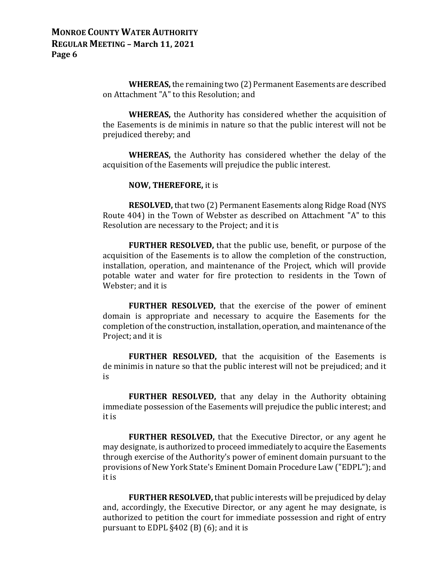**WHEREAS,** the remaining two (2) Permanent Easements are described on Attachment "A" to this Resolution; and

 **WHEREAS,** the Authority has considered whether the acquisition of the Easements is de minimis in nature so that the public interest will not be prejudiced thereby; and

 **WHEREAS,** the Authority has considered whether the delay of the acquisition of the Easements will prejudice the public interest.

#### **NOW, THEREFORE,** it is

 **RESOLVED,** that two (2) Permanent Easements along Ridge Road (NYS Route 404) in the Town of Webster as described on Attachment "A" to this Resolution are necessary to the Project; and it is

 **FURTHER RESOLVED,** that the public use, benefit, or purpose of the acquisition of the Easements is to allow the completion of the construction, installation, operation, and maintenance of the Project, which will provide potable water and water for fire protection to residents in the Town of Webster; and it is

 **FURTHER RESOLVED,** that the exercise of the power of eminent domain is appropriate and necessary to acquire the Easements for the completion of the construction, installation, operation, and maintenance of the Project; and it is

 **FURTHER RESOLVED,** that the acquisition of the Easements is de minimis in nature so that the public interest will not be prejudiced; and it is

 **FURTHER RESOLVED,** that any delay in the Authority obtaining immediate possession of the Easements will prejudice the public interest; and it is

 **FURTHER RESOLVED,** that the Executive Director, or any agent he may designate, is authorized to proceed immediately to acquire the Easements through exercise of the Authority's power of eminent domain pursuant to the provisions of New York State's Eminent Domain Procedure Law ("EDPL"); and it is

 **FURTHER RESOLVED,** that public interests will be prejudiced by delay and, accordingly, the Executive Director, or any agent he may designate, is authorized to petition the court for immediate possession and right of entry pursuant to EDPL §402 (B) (6); and it is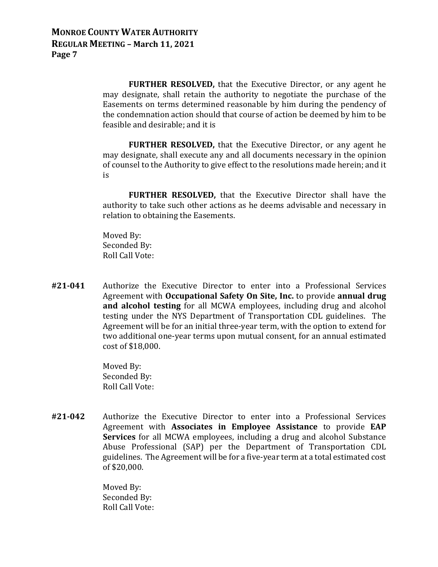**FURTHER RESOLVED,** that the Executive Director, or any agent he may designate, shall retain the authority to negotiate the purchase of the Easements on terms determined reasonable by him during the pendency of the condemnation action should that course of action be deemed by him to be feasible and desirable; and it is

 **FURTHER RESOLVED,** that the Executive Director, or any agent he may designate, shall execute any and all documents necessary in the opinion of counsel to the Authority to give effect to the resolutions made herein; and it is

 **FURTHER RESOLVED,** that the Executive Director shall have the authority to take such other actions as he deems advisable and necessary in relation to obtaining the Easements.

 Moved By: Seconded By: Roll Call Vote:

**#21‐041** Authorize the Executive Director to enter into a Professional Services Agreement with **Occupational Safety On Site, Inc.** to provide **annual drug and alcohol testing** for all MCWA employees, including drug and alcohol testing under the NYS Department of Transportation CDL guidelines. The Agreement will be for an initial three-year term, with the option to extend for two additional one-year terms upon mutual consent, for an annual estimated cost of \$18,000.

> Moved By: Seconded By: Roll Call Vote:

**#21‐042** Authorize the Executive Director to enter into a Professional Services Agreement with **Associates in Employee Assistance** to provide **EAP Services** for all MCWA employees, including a drug and alcohol Substance Abuse Professional (SAP) per the Department of Transportation CDL guidelines. The Agreement will be for a five-year term at a total estimated cost of \$20,000.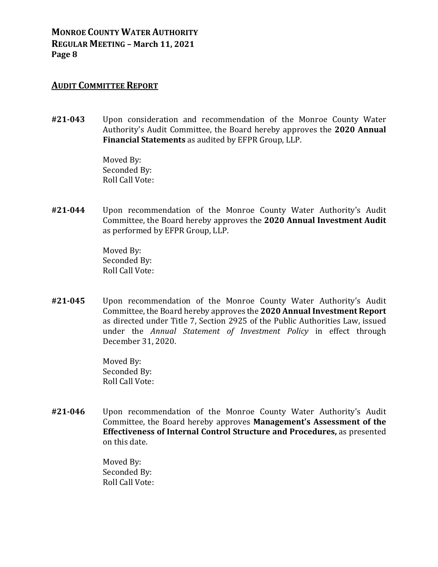#### **AUDIT COMMITTEE REPORT**

**#21‐043** Upon consideration and recommendation of the Monroe County Water Authority's Audit Committee, the Board hereby approves the **2020 Annual Financial Statements** as audited by EFPR Group, LLP.

> Moved By: Seconded By: Roll Call Vote:

**#21‐044** Upon recommendation of the Monroe County Water Authority's Audit Committee, the Board hereby approves the **2020 Annual Investment Audit** as performed by EFPR Group, LLP.

> Moved By: Seconded By: Roll Call Vote:

**#21‐045** Upon recommendation of the Monroe County Water Authority's Audit Committee, the Board hereby approves the **2020 Annual Investment Report** as directed under Title 7, Section 2925 of the Public Authorities Law, issued under the *Annual Statement of Investment Policy* in effect through December 31, 2020.

> Moved By: Seconded By: Roll Call Vote:

**#21‐046** Upon recommendation of the Monroe County Water Authority's Audit Committee, the Board hereby approves **Management's Assessment of the Effectiveness of Internal Control Structure and Procedures,** as presented on this date.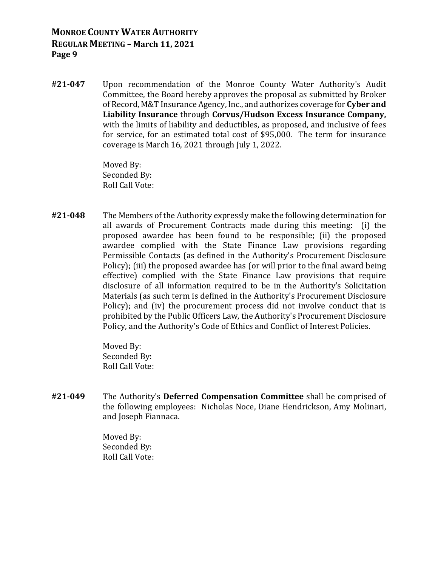**#21‐047** Upon recommendation of the Monroe County Water Authority's Audit Committee, the Board hereby approves the proposal as submitted by Broker of Record, M&T Insurance Agency, Inc., and authorizes coverage for **Cyber and Liability Insurance** through **Corvus/Hudson Excess Insurance Company,** with the limits of liability and deductibles, as proposed, and inclusive of fees for service, for an estimated total cost of \$95,000. The term for insurance coverage is March 16, 2021 through July 1, 2022.

> Moved By: Seconded By: Roll Call Vote:

**#21‐048** The Members of the Authority expressly make the following determination for all awards of Procurement Contracts made during this meeting: (i) the proposed awardee has been found to be responsible; (ii) the proposed awardee complied with the State Finance Law provisions regarding Permissible Contacts (as defined in the Authority's Procurement Disclosure Policy); (iii) the proposed awardee has (or will prior to the final award being effective) complied with the State Finance Law provisions that require disclosure of all information required to be in the Authority's Solicitation Materials (as such term is defined in the Authority's Procurement Disclosure Policy); and (iv) the procurement process did not involve conduct that is prohibited by the Public Officers Law, the Authority's Procurement Disclosure Policy, and the Authority's Code of Ethics and Conflict of Interest Policies.

> Moved By: Seconded By: Roll Call Vote:

**#21‐049** The Authority's **Deferred Compensation Committee** shall be comprised of the following employees: Nicholas Noce, Diane Hendrickson, Amy Molinari, and Joseph Fiannaca.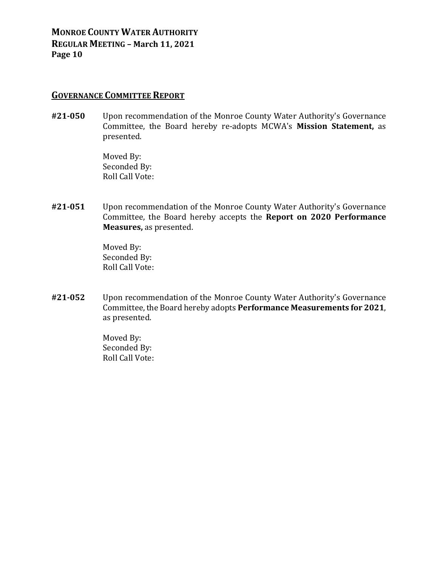### **GOVERNANCE COMMITTEE REPORT**

**#21‐050** Upon recommendation of the Monroe County Water Authority's Governance Committee, the Board hereby re-adopts MCWA's **Mission Statement,** as presented.

> Moved By: Seconded By: Roll Call Vote:

**#21‐051** Upon recommendation of the Monroe County Water Authority's Governance Committee, the Board hereby accepts the **Report on 2020 Performance Measures,** as presented.

> Moved By: Seconded By: Roll Call Vote:

**#21‐052** Upon recommendation of the Monroe County Water Authority's Governance Committee, the Board hereby adopts **Performance Measurements for 2021**, as presented.